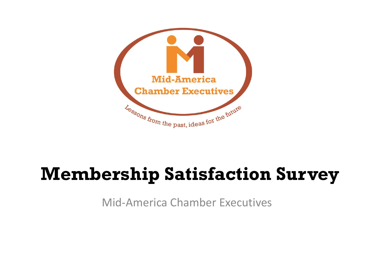

### **Membership Satisfaction Survey**

Mid-America Chamber Executives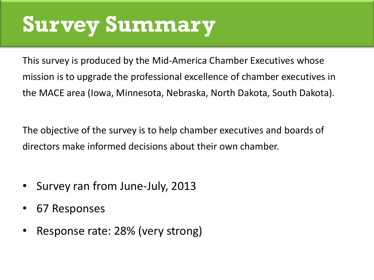## **Survey Summary**

This survey is produced by the Mid-America Chamber Executives whose mission is to upgrade the professional excellence of chamber executives in the MACE area (Iowa, Minnesota, Nebraska, North Dakota, South Dakota).

The objective of the survey is to help chamber executives and boards of directors make informed decisions about their own chamber.

- Survey ran from June-July, 2013
- 67 Responses
- Response rate: 28% (very strong)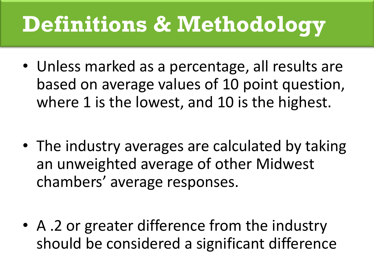# **Definitions & Methodology**

- Unless marked as a percentage, all results are based on average values of 10 point question, where 1 is the lowest, and 10 is the highest.
- The industry averages are calculated by taking an unweighted average of other Midwest chambers' average responses.
- A .2 or greater difference from the industry should be considered a significant difference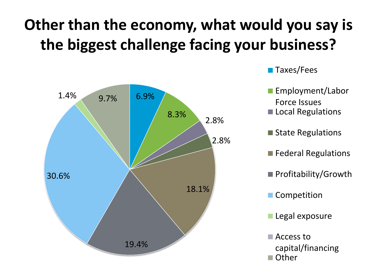### **Other than the economy, what would you say is the biggest challenge facing your business?**



- Taxes/Fees
- Employment/Labor Force Issues
- Local Regulations
- State Regulations
- **Federal Regulations**
- Profitability/Growth
- **Competition**
- **Legal exposure**
- Access to capital/financing ■ Other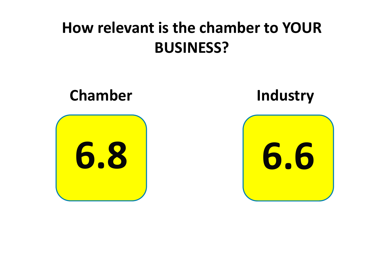#### **How relevant is the chamber to YOUR BUSINESS?**

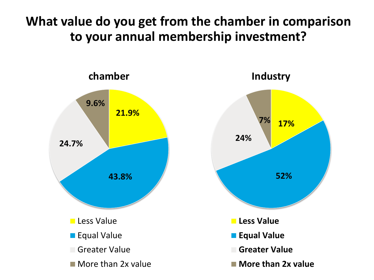**What value do you get from the chamber in comparison to your annual membership investment?**



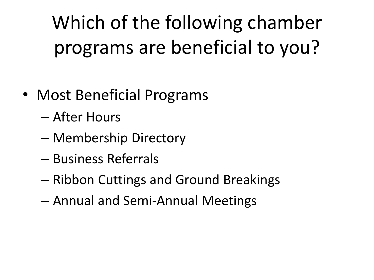Which of the following chamber programs are beneficial to you?

- Most Beneficial Programs
	- After Hours
	- Membership Directory
	- Business Referrals
	- Ribbon Cuttings and Ground Breakings
	- Annual and Semi-Annual Meetings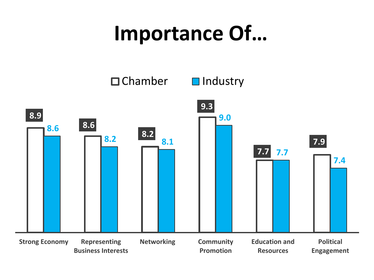## **Importance Of…**

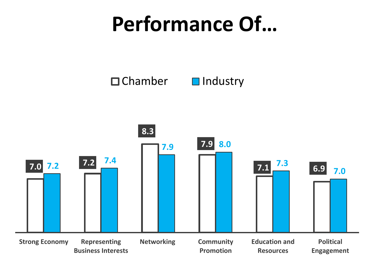## **Performance Of…**

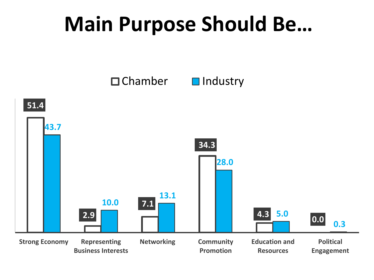## **Main Purpose Should Be…**

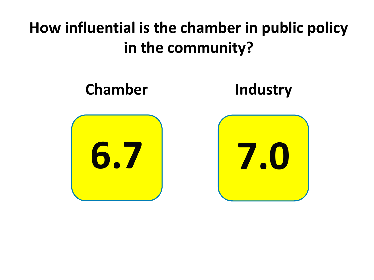#### **How influential is the chamber in public policy in the community?**

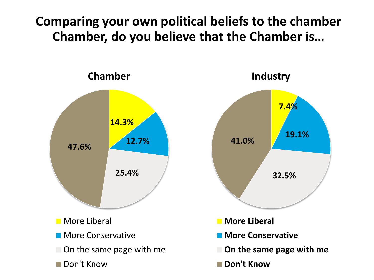**Comparing your own political beliefs to the chamber Chamber, do you believe that the Chamber is…**

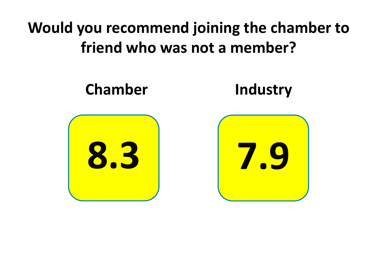#### **Would you recommend joining the chamber to friend who was not a member?**

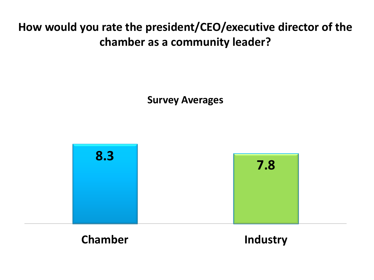#### **How would you rate the president/CEO/executive director of the chamber as a community leader?**

**Survey Averages**



#### **Chamber Industry**